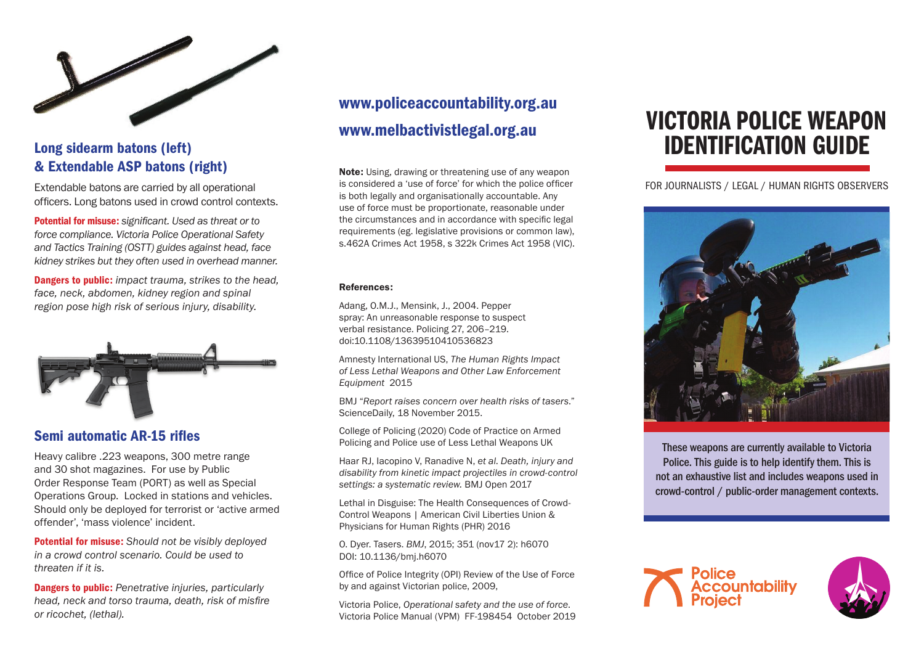

#### Long sidearm batons (left) & Extendable ASP batons (right)

Extendable batons are carried by all operational officers. Long batons used in crowd control contexts.

Potential for misuse: *significant. Used as threat or to force compliance. Victoria Police Operational Safety and Tactics Training (OSTT) guides against head, face kidney strikes but they often used in overhead manner.* 

Dangers to public: *impact trauma, strikes to the head, face, neck, abdomen, kidney region and spinal region pose high risk of serious injury, disability.* 



#### Semi automatic AR-15 rifles

Heavy calibre .223 weapons, 300 metre range and 30 shot magazines. For use by Public Order Response Team (PORT) as well as Special Operations Group. Locked in stations and vehicles. Should only be deployed for terrorist or 'active armed offender', 'mass violence' incident.

Potential for misuse: *Should not be visibly deployed in a crowd control scenario. Could be used to threaten if it is.* 

Dangers to public: *Penetrative injuries, particularly head, neck and torso trauma, death, risk of misfire or ricochet, (lethal).* 

## www.policeaccountability.org.au www.melbactivistlegal.org.au

Note: Using, drawing or threatening use of any weapon is considered a 'use of force' for which the police officer is both legally and organisationally accountable. Any use of force must be proportionate, reasonable under the circumstances and in accordance with specific legal requirements (eg. legislative provisions or common law), s.462A Crimes Act 1958, s 322k Crimes Act 1958 (VIC).

#### References:

Adang, O.M.J., Mensink, J., 2004. Pepper spray: An unreasonable response to suspect verbal resistance. Policing 27, 206–219. doi:10.1108/13639510410536823

Amnesty International US, *The Human Rights Impact of Less Lethal Weapons and Other Law Enforcement Equipment* 2015

BMJ "*Report raises concern over health risks of tasers*." ScienceDaily, 18 November 2015.

College of Policing (2020) Code of Practice on Armed Policing and Police use of Less Lethal Weapons UK

Haar RJ, Iacopino V, Ranadive N, *et al*. *Death, injury and disability from kinetic impact projectiles in crowd-control settings: a systematic review.* BMJ Open 2017

Lethal in Disguise: The Health Consequences of Crowd-Control Weapons | American Civil Liberties Union & Physicians for Human Rights (PHR) 2016

O. Dyer. Tasers. *BMJ*, 2015; 351 (nov17 2): h6070 DOI: 10.1136/bmj.h6070

Office of Police Integrity (OPI) Review of the Use of Force by and against Victorian police, 2009,

Victoria Police, *Operational safety and the use of force*. Victoria Police Manual (VPM) FF-198454 October 2019

# VICTORIA POLICE WEAPON IDENTIFICATION GUIDE

FOR JOURNALISTS / LEGAL / HUMAN RIGHTS OBSERVERS



These weapons are currently available to Victoria Police. This guide is to help identify them. This is not an exhaustive list and includes weapons used in crowd-control / public-order management contexts.